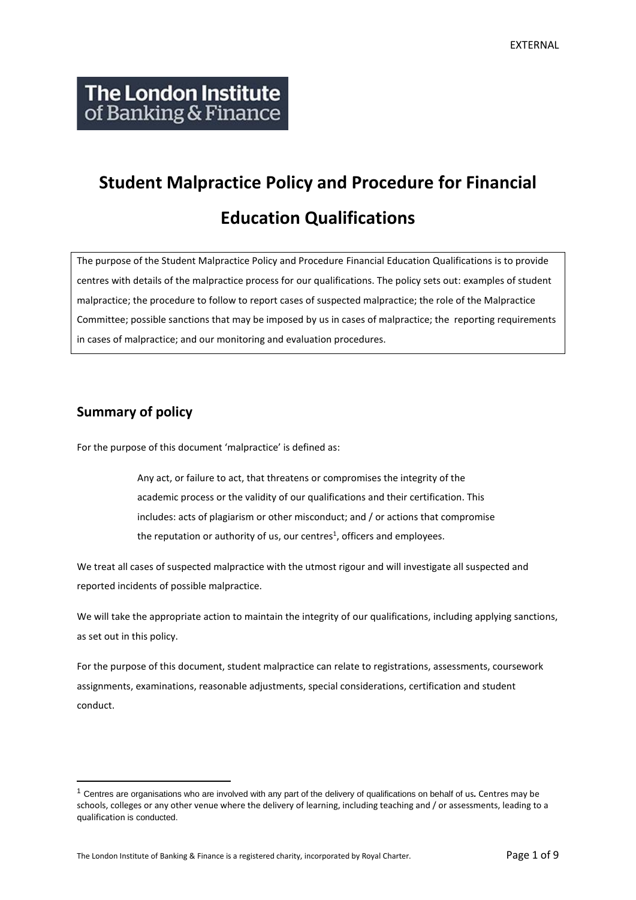# **Student Malpractice Policy and Procedure for Financial Education Qualifications**

The purpose of the Student Malpractice Policy and Procedure Financial Education Qualifications is to provide centres with details of the malpractice process for our qualifications. The policy sets out: examples of student malpractice; the procedure to follow to report cases of suspected malpractice; the role of the Malpractice Committee; possible sanctions that may be imposed by us in cases of malpractice; the reporting requirements in cases of malpractice; and our monitoring and evaluation procedures.

## **Summary of policy**

For the purpose of this document 'malpractice' is defined as:

Any act, or failure to act, that threatens or compromises the integrity of the academic process or the validity of our qualifications and their certification. This includes: acts of plagiarism or other misconduct; and / or actions that compromise the reputation or authority of us, our centres<sup>1</sup>, officers and employees.

We treat all cases of suspected malpractice with the utmost rigour and will investigate all suspected and reported incidents of possible malpractice.

We will take the appropriate action to maintain the integrity of our qualifications, including applying sanctions, as set out in this policy.

For the purpose of this document, student malpractice can relate to registrations, assessments, coursework assignments, examinations, reasonable adjustments, special considerations, certification and student conduct.

<sup>1</sup> Centres are organisations who are involved with any part of the delivery of qualifications on behalf of us*.* Centres may be schools, colleges or any other venue where the delivery of learning, including teaching and / or assessments, leading to a qualification is conducted.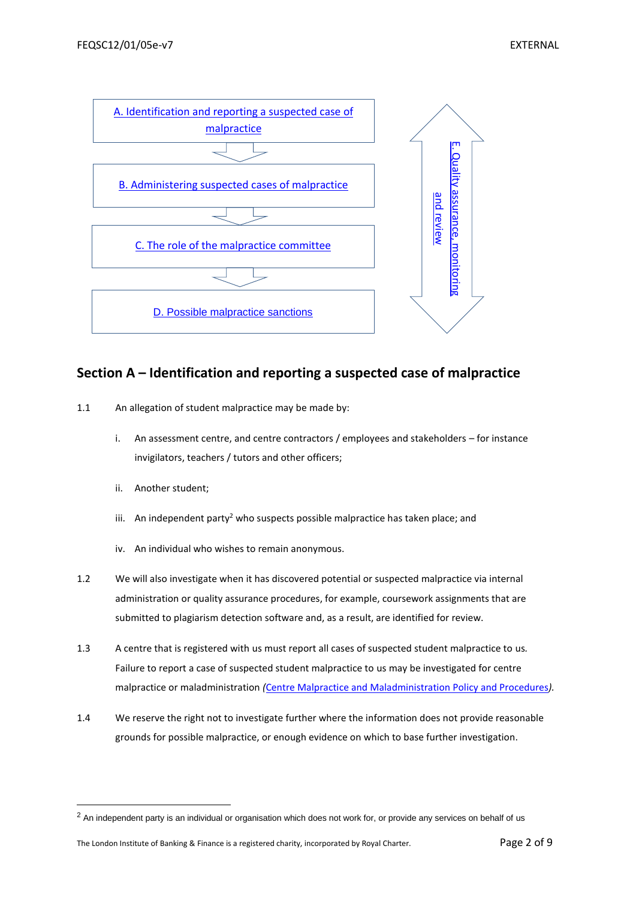

### <span id="page-1-0"></span>**Section A – Identification and reporting a suspected case of malpractice**

- 1.1 An allegation of student malpractice may be made by:
	- i. An assessment centre, and centre contractors / employees and stakeholders for instance invigilators, teachers / tutors and other officers;
	- ii. Another student;
	- iii. An independent party<sup>2</sup> who suspects possible malpractice has taken place; and
	- iv. An individual who wishes to remain anonymous.
- 1.2 We will also investigate when it has discovered potential or suspected malpractice via internal administration or quality assurance procedures, for example, coursework assignments that are submitted to plagiarism detection software and, as a result, are identified for review.
- 1.3 A centre that is registered with us must report all cases of suspected student malpractice to us*.*  Failure to report a case of suspected student malpractice to us may be investigated for centre malpractice or maladministration *(*[Centre Malpractice and Maladministration Policy and Procedures](http://www.libf.ac.uk/docs/default-source/Shared-FC-CPQ-policies/centre-malpractice-and-maladministration-policy.pdf?sfvrsn=2)*).*
- 1.4 We reserve the right not to investigate further where the information does not provide reasonable grounds for possible malpractice, or enough evidence on which to base further investigation.

<sup>&</sup>lt;sup>2</sup> An independent party is an individual or organisation which does not work for, or provide any services on behalf of us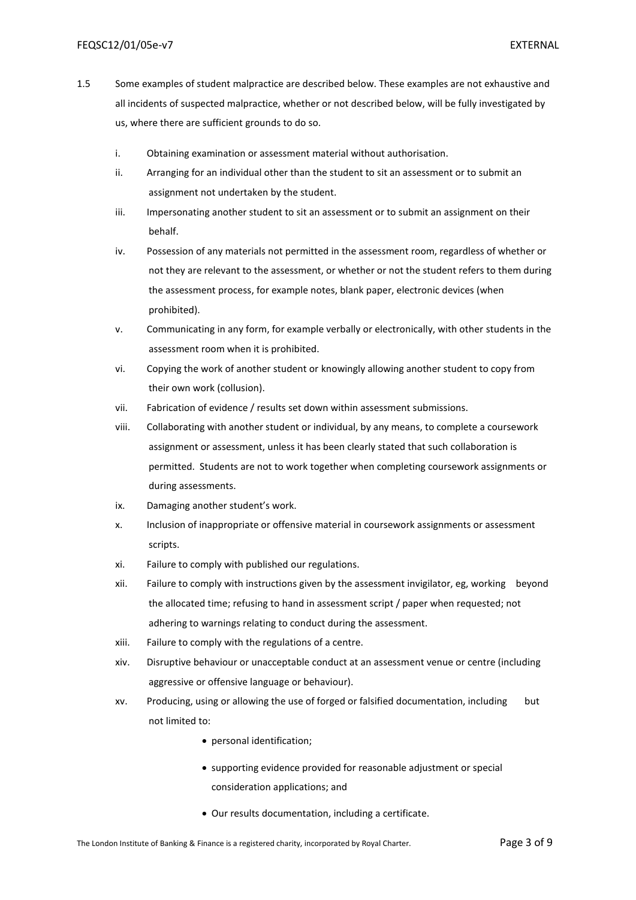- 1.5 Some examples of student malpractice are described below. These examples are not exhaustive and all incidents of suspected malpractice, whether or not described below, will be fully investigated by us, where there are sufficient grounds to do so.
	- i. Obtaining examination or assessment material without authorisation.
	- ii. Arranging for an individual other than the student to sit an assessment or to submit an assignment not undertaken by the student.
	- iii. Impersonating another student to sit an assessment or to submit an assignment on their behalf.
	- iv. Possession of any materials not permitted in the assessment room, regardless of whether or not they are relevant to the assessment, or whether or not the student refers to them during the assessment process, for example notes, blank paper, electronic devices (when prohibited).
	- v. Communicating in any form, for example verbally or electronically, with other students in the assessment room when it is prohibited.
	- vi. Copying the work of another student or knowingly allowing another student to copy from their own work (collusion).
	- vii. Fabrication of evidence / results set down within assessment submissions.
	- viii. Collaborating with another student or individual, by any means, to complete a coursework assignment or assessment, unless it has been clearly stated that such collaboration is permitted. Students are not to work together when completing coursework assignments or during assessments.
	- ix. Damaging another student's work.
	- x. Inclusion of inappropriate or offensive material in coursework assignments or assessment scripts.
	- xi. Failure to comply with published our regulations.
	- xii. Failure to comply with instructions given by the assessment invigilator, eg, working beyond the allocated time; refusing to hand in assessment script / paper when requested; not adhering to warnings relating to conduct during the assessment.
	- xiii. Failure to comply with the regulations of a centre.
	- xiv. Disruptive behaviour or unacceptable conduct at an assessment venue or centre (including aggressive or offensive language or behaviour).
	- xv. Producing, using or allowing the use of forged or falsified documentation, including but not limited to:
		- personal identification;
		- supporting evidence provided for reasonable adjustment or special consideration applications; and
		- Our results documentation, including a certificate.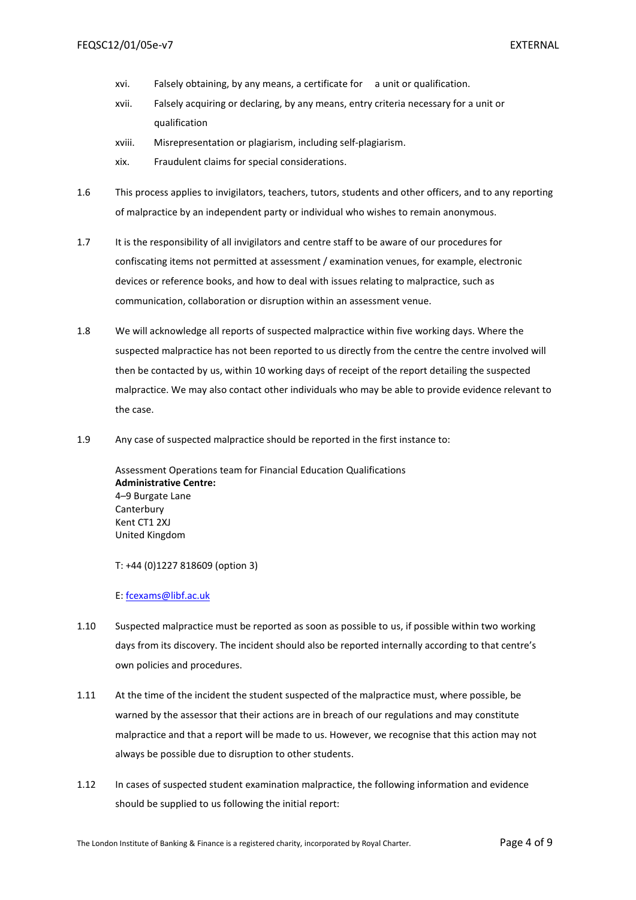- xvi. Falsely obtaining, by any means, a certificate for a unit or qualification.
- xvii. Falsely acquiring or declaring, by any means, entry criteria necessary for a unit or qualification
- xviii. Misrepresentation or plagiarism, including self-plagiarism.
- xix. Fraudulent claims for special considerations.
- 1.6 This process applies to invigilators, teachers, tutors, students and other officers, and to any reporting of malpractice by an independent party or individual who wishes to remain anonymous.
- 1.7 It is the responsibility of all invigilators and centre staff to be aware of our procedures for confiscating items not permitted at assessment / examination venues, for example, electronic devices or reference books, and how to deal with issues relating to malpractice, such as communication, collaboration or disruption within an assessment venue.
- 1.8 We will acknowledge all reports of suspected malpractice within five working days. Where the suspected malpractice has not been reported to us directly from the centre the centre involved will then be contacted by us, within 10 working days of receipt of the report detailing the suspected malpractice. We may also contact other individuals who may be able to provide evidence relevant to the case.
- 1.9 Any case of suspected malpractice should be reported in the first instance to:

Assessment Operations team for Financial Education Qualifications **Administrative Centre:** 4–9 Burgate Lane Canterbury Kent CT1 2XJ United Kingdom

T: +44 (0)1227 818609 (option 3)

E: [fcexams@libf.ac.uk](mailto:fcexams@libf.ac.uk)

- 1.10 Suspected malpractice must be reported as soon as possible to us, if possible within two working days from its discovery. The incident should also be reported internally according to that centre's own policies and procedures.
- 1.11 At the time of the incident the student suspected of the malpractice must, where possible, be warned by the assessor that their actions are in breach of our regulations and may constitute malpractice and that a report will be made to us. However, we recognise that this action may not always be possible due to disruption to other students.
- 1.12 In cases of suspected student examination malpractice, the following information and evidence should be supplied to us following the initial report: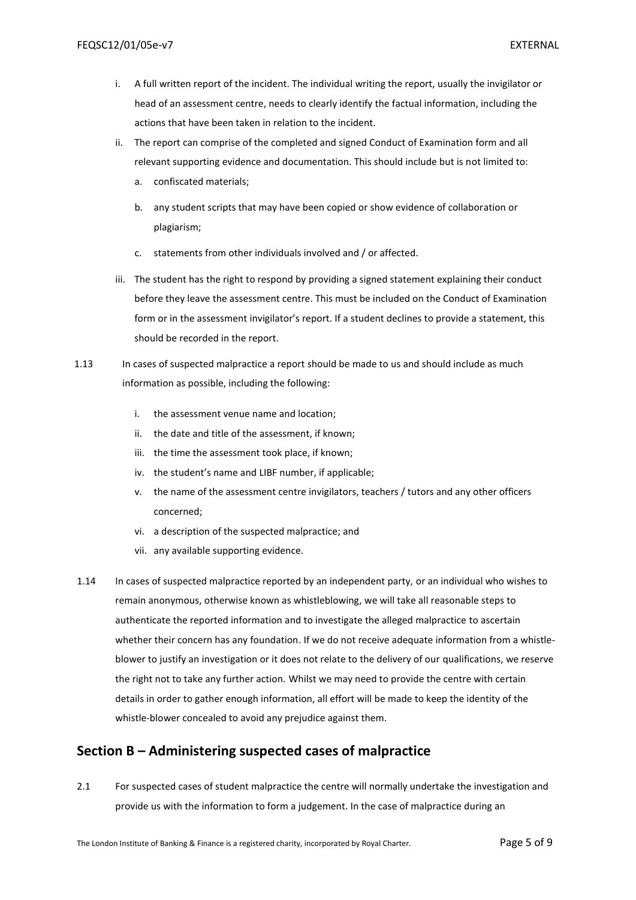- i. A full written report of the incident. The individual writing the report, usually the invigilator or head of an assessment centre, needs to clearly identify the factual information, including the actions that have been taken in relation to the incident.
- ii. The report can comprise of the completed and signed Conduct of Examination form and all relevant supporting evidence and documentation. This should include but is not limited to:
	- a. confiscated materials;
	- b. any student scripts that may have been copied or show evidence of collaboration or plagiarism;
	- c. statements from other individuals involved and / or affected.
- iii. The student has the right to respond by providing a signed statement explaining their conduct before they leave the assessment centre. This must be included on the Conduct of Examination form or in the assessment invigilator's report. If a student declines to provide a statement, this should be recorded in the report.
- 1.13 In cases of suspected malpractice a report should be made to us and should include as much information as possible, including the following:
	- i. the assessment venue name and location;
	- ii. the date and title of the assessment, if known;
	- iii. the time the assessment took place, if known;
	- iv. the student's name and LIBF number, if applicable;
	- v. the name of the assessment centre invigilators, teachers / tutors and any other officers concerned;
	- vi. a description of the suspected malpractice; and
	- vii. any available supporting evidence.
- 1.14 In cases of suspected malpractice reported by an independent party, or an individual who wishes to remain anonymous, otherwise known as whistleblowing, we will take all reasonable steps to authenticate the reported information and to investigate the alleged malpractice to ascertain whether their concern has any foundation. If we do not receive adequate information from a whistleblower to justify an investigation or it does not relate to the delivery of our qualifications, we reserve the right not to take any further action. Whilst we may need to provide the centre with certain details in order to gather enough information, all effort will be made to keep the identity of the whistle-blower concealed to avoid any prejudice against them.

#### <span id="page-4-0"></span>**Section B – Administering suspected cases of malpractice**

2.1 For suspected cases of student malpractice the centre will normally undertake the investigation and provide us with the information to form a judgement. In the case of malpractice during an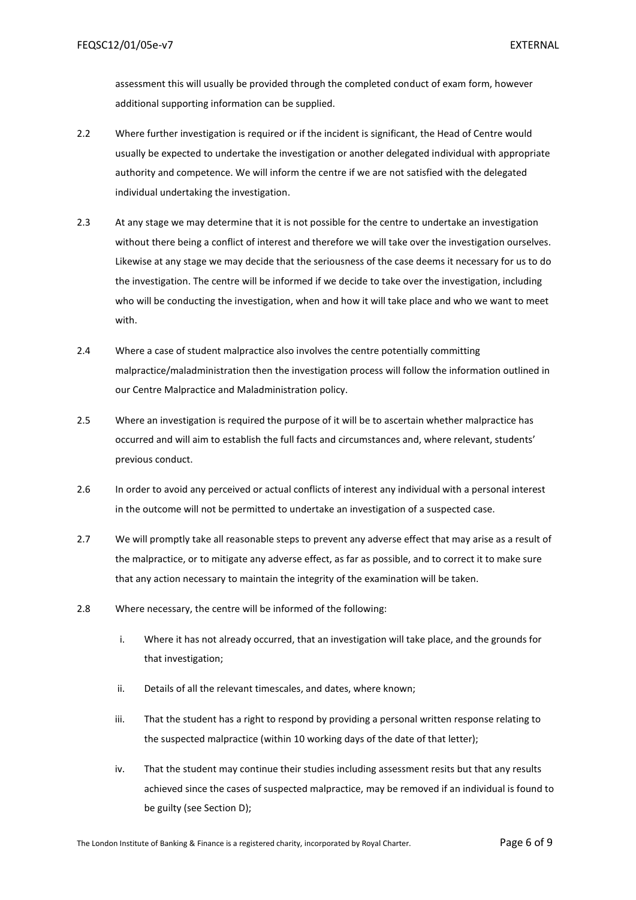assessment this will usually be provided through the completed conduct of exam form, however additional supporting information can be supplied.

- 2.2 Where further investigation is required or if the incident is significant, the Head of Centre would usually be expected to undertake the investigation or another delegated individual with appropriate authority and competence. We will inform the centre if we are not satisfied with the delegated individual undertaking the investigation.
- 2.3 At any stage we may determine that it is not possible for the centre to undertake an investigation without there being a conflict of interest and therefore we will take over the investigation ourselves. Likewise at any stage we may decide that the seriousness of the case deems it necessary for us to do the investigation. The centre will be informed if we decide to take over the investigation, including who will be conducting the investigation, when and how it will take place and who we want to meet with.
- 2.4 Where a case of student malpractice also involves the centre potentially committing malpractice/maladministration then the investigation process will follow the information outlined in our Centre Malpractice and Maladministration policy.
- 2.5 Where an investigation is required the purpose of it will be to ascertain whether malpractice has occurred and will aim to establish the full facts and circumstances and, where relevant, students' previous conduct.
- 2.6 In order to avoid any perceived or actual conflicts of interest any individual with a personal interest in the outcome will not be permitted to undertake an investigation of a suspected case.
- 2.7 We will promptly take all reasonable steps to prevent any adverse effect that may arise as a result of the malpractice, or to mitigate any adverse effect, as far as possible, and to correct it to make sure that any action necessary to maintain the integrity of the examination will be taken.
- 2.8 Where necessary, the centre will be informed of the following:
	- i. Where it has not already occurred, that an investigation will take place, and the grounds for that investigation;
	- ii. Details of all the relevant timescales, and dates, where known;
	- iii. That the student has a right to respond by providing a personal written response relating to the suspected malpractice (within 10 working days of the date of that letter);
	- iv. That the student may continue their studies including assessment resits but that any results achieved since the cases of suspected malpractice, may be removed if an individual is found to be guilty (see Section D);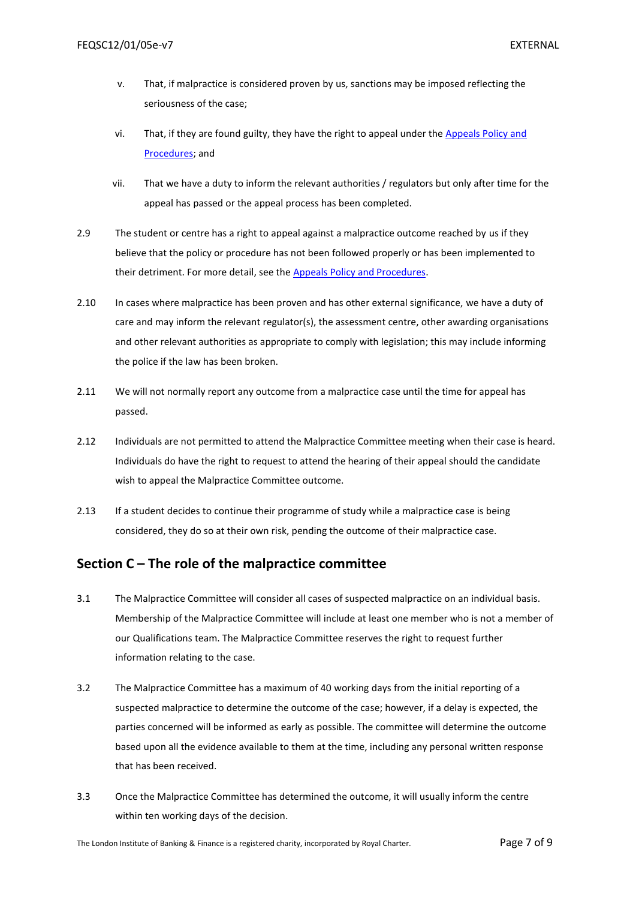- v. That, if malpractice is considered proven by us, sanctions may be imposed reflecting the seriousness of the case;
- vi. That, if they are found guilty, they have the right to appeal under the Appeals Policy and [Procedures;](http://www.libf.ac.uk/docs/default-source/Shared-FC-CPQ-policies/Shared-FC-CPQ-policies/appeals-policy.pdf?sfvrsn=0) and
- vii. That we have a duty to inform the relevant authorities / regulators but only after time for the appeal has passed or the appeal process has been completed.
- 2.9 The student or centre has a right to appeal against a malpractice outcome reached by us if they believe that the policy or procedure has not been followed properly or has been implemented to their detriment. For more detail, see th[e Appeals Policy and Procedures.](http://www.libf.ac.uk/docs/default-source/Shared-FC-CPQ-policies/Shared-FC-CPQ-policies/appeals-policy.pdf?sfvrsn=0)
- 2.10 In cases where malpractice has been proven and has other external significance, we have a duty of care and may inform the relevant regulator(s), the assessment centre, other awarding organisations and other relevant authorities as appropriate to comply with legislation; this may include informing the police if the law has been broken.
- 2.11 We will not normally report any outcome from a malpractice case until the time for appeal has passed.
- 2.12 Individuals are not permitted to attend the Malpractice Committee meeting when their case is heard. Individuals do have the right to request to attend the hearing of their appeal should the candidate wish to appeal the Malpractice Committee outcome.
- 2.13 If a student decides to continue their programme of study while a malpractice case is being considered, they do so at their own risk, pending the outcome of their malpractice case.

#### <span id="page-6-0"></span>**Section C – The role of the malpractice committee**

- 3.1 The Malpractice Committee will consider all cases of suspected malpractice on an individual basis. Membership of the Malpractice Committee will include at least one member who is not a member of our Qualifications team. The Malpractice Committee reserves the right to request further information relating to the case.
- 3.2 The Malpractice Committee has a maximum of 40 working days from the initial reporting of a suspected malpractice to determine the outcome of the case; however, if a delay is expected, the parties concerned will be informed as early as possible. The committee will determine the outcome based upon all the evidence available to them at the time, including any personal written response that has been received.
- 3.3 Once the Malpractice Committee has determined the outcome, it will usually inform the centre within ten working days of the decision.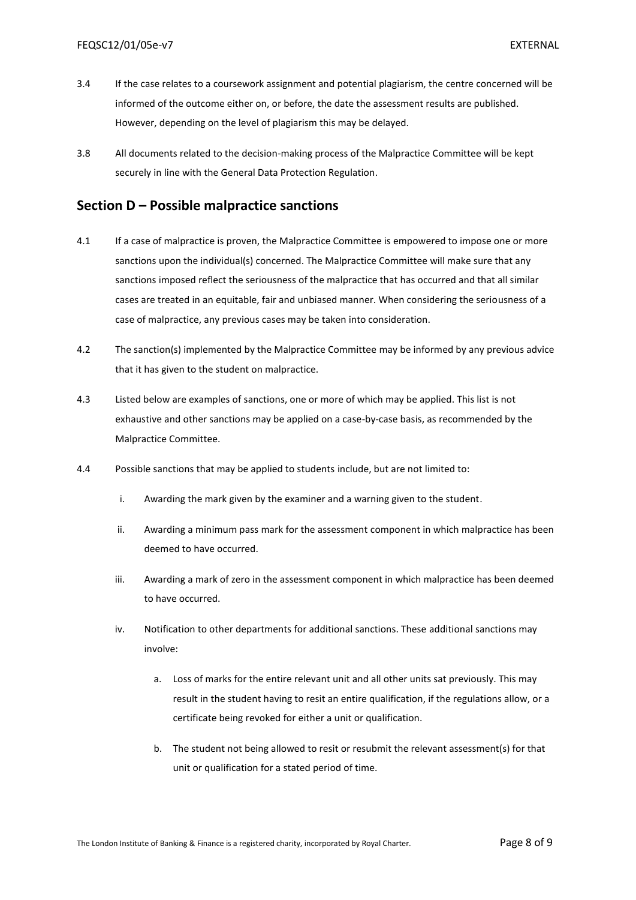- 3.4 If the case relates to a coursework assignment and potential plagiarism, the centre concerned will be informed of the outcome either on, or before, the date the assessment results are published. However, depending on the level of plagiarism this may be delayed.
- 3.8 All documents related to the decision-making process of the Malpractice Committee will be kept securely in line with the General Data Protection Regulation.

#### <span id="page-7-0"></span>**Section D – Possible malpractice sanctions**

- 4.1 If a case of malpractice is proven, the Malpractice Committee is empowered to impose one or more sanctions upon the individual(s) concerned. The Malpractice Committee will make sure that any sanctions imposed reflect the seriousness of the malpractice that has occurred and that all similar cases are treated in an equitable, fair and unbiased manner. When considering the seriousness of a case of malpractice, any previous cases may be taken into consideration.
- 4.2 The sanction(s) implemented by the Malpractice Committee may be informed by any previous advice that it has given to the student on malpractice.
- 4.3 Listed below are examples of sanctions, one or more of which may be applied. This list is not exhaustive and other sanctions may be applied on a case-by-case basis, as recommended by the Malpractice Committee.
- 4.4 Possible sanctions that may be applied to students include, but are not limited to:
	- i. Awarding the mark given by the examiner and a warning given to the student.
	- ii. Awarding a minimum pass mark for the assessment component in which malpractice has been deemed to have occurred.
	- iii. Awarding a mark of zero in the assessment component in which malpractice has been deemed to have occurred.
	- iv. Notification to other departments for additional sanctions. These additional sanctions may involve:
		- a. Loss of marks for the entire relevant unit and all other units sat previously. This may result in the student having to resit an entire qualification, if the regulations allow, or a certificate being revoked for either a unit or qualification.
		- b. The student not being allowed to resit or resubmit the relevant assessment(s) for that unit or qualification for a stated period of time.